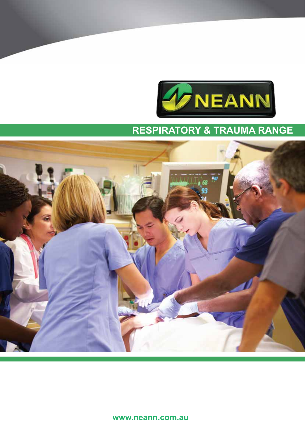



**www.neann.com.au**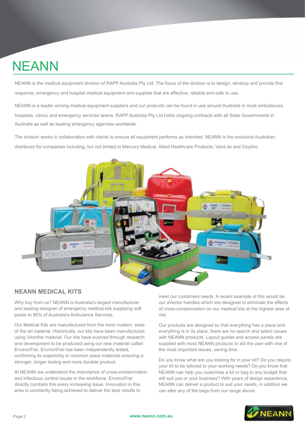# NEANN

NEANN is the medical equipment division of RAPP Australia Pty Ltd. The focus of the division is to design, develop and provide first response, emergency and hospital medical equipment and supplies that are effective, reliable and safe to use.

NEANN is a leader among medical equipment suppliers and our products can be found in use around Australia in most ambulances, hospitals, clinics and emergency services teams. RAPP Australia Pty Ltd holds ongoing contracts with all State Governments in Australia as well as leading emergency agencies worldwide.

The division works in collaboration with clients to ensure all equipment performs as intended. NEANN is the exclusive Australian distributor for companies including, but not limited to Mercury Medical, Allied Healthcare Products, VeinLite and Oxylitre.



### **NEANN MEDICAL KITS**

Why buy from us? NEANN is Australia's largest manufacturer and leading designer of emergency medical kits supplying soft packs to 90% of Australia's Ambulance Services.

Our Medical Kits are manufactured from the most modern, state of the art material. Historically, our kits have been manufactured using Vironfrei material. Our kits have evolved through research and development to be produced using our new material called EnvironFrei. EnvironFrei has been independently tested, confirming its superiority to common place materials ensuring a stronger, longer lasting and more durable product.

At NEANN we understand the importance of cross-contamination and infectious control issues in the workforce. EnvironFrei directly combats this every increasing issue. Innovation in this area is constantly being achieved to deliver the best results to

meet our customers needs. A recent example of this would be our aVector handles which are designed to eliminate the effects of cross-contamination on our medical kits at the highest area of risk.

Our products are designed so that everything has a place and everything is in its place, there are no search and select issues with NEANN products. Layout guides and access panels are supplied with most NEANN products to aid the user with one of the most important issues, saving time.

Do you know what are you looking for in your kit? Do you require your kit to be tailored to your working needs? Do you know that NEANN can help you customise a kit or bag to any budget that will suit you or your business? With years of design experience, NEANN can deliver a product to suit your needs, in addition we can alter any of the bags from our range above.

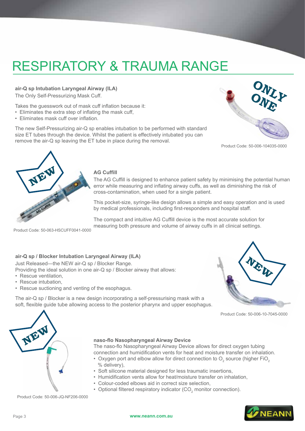**air-Q sp Intubation Laryngeal Airway (ILA)** The Only Self-Pressurizing Mask Cuff.

Takes the guesswork out of mask cuff inflation because it:

- Eliminates the extra step of inflating the mask cuff,
- Eliminates mask cuff over inflation.

The new Self-Pressurizing air-Q sp enables intubation to be performed with standard size ET tubes through the device. Whilst the patient is effectively intubated you can remove the air-Q sp leaving the ET tube in place during the removal.



Product Code: 50-006-104035-0000



#### **AG Cuffill**

The AG Cuffill is designed to enhance patient safety by minimising the potential human error while measuring and inflating airway cuffs, as well as diminishing the risk of cross-contamination, when used for a single patient.

This pocket-size, syringe-like design allows a simple and easy operation and is used by medical professionals, including first-responders and hospital staff.

The compact and intuitive AG Cuffill device is the most accurate solution for measuring both pressure and volume of airway cuffs in all clinical settings.

Product Code: 50-063-HSCUFF0041-0000

#### **air-Q sp / Blocker Intubation Laryngeal Airway (ILA)**

Just Released—the NEW air-Q sp / Blocker Range.

Providing the ideal solution in one air-Q sp / Blocker airway that allows:

- Rescue ventilation,
- Rescue intubation,
- Rescue suctioning and venting of the esophagus.

The air-Q sp / Blocker is a new design incorporating a self-pressurising mask with a soft, flexible guide tube allowing access to the posterior pharynx and upper esophagus.



Product Code: 50-006-10-7045-0000



#### **naso-flo Nasopharyngeal Airway Device**

The naso-flo Nasopharyngeal Airway Device allows for direct oxygen tubing connection and humidification vents for heat and moisture transfer on inhalation.

- Oxygen port and elbow allow for direct connection to  $\mathrm{O}_2$  source (higher FiO<sub>2</sub> % delivery),
- Soft silicone material designed for less traumatic insertions,
- Humidification vents allow for heat/moisture transfer on inhalation,
- Colour-coded elbows aid in correct size selection,
- Optional filtered respiratory indicator (CO<sub>2</sub> monitor connection).

Product Code: 50-006-JQ-NF206-0000

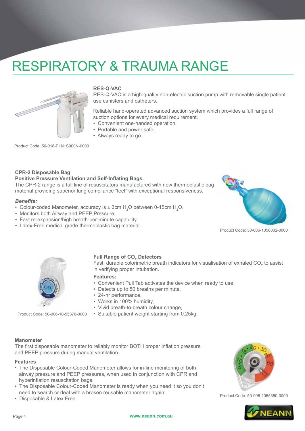

#### **RES-Q-VAC**

RES-Q-VAC is a high-quality non-electric suction pump with removable single patient use canisters and catheters.

Reliable hand-operated advanced suction system which provides a full range of suction options for every medical requirement.

- Convenient one-handed operation,
- Portable and power safe,
- Always ready to go.

Product Code: 50-018-P1N1S000N-0000

#### **CPR-2 Disposable Bag**

#### **Positive Pressure Ventilation and Self-Inflating Bags.**

The CPR-2 range is a full line of resuscitators manufactured with new thermoplastic bag material providing superior lung compliance "feel" with exceptional responsiveness.

#### *Benefits:*

- Colour-coded Manometer, accuracy is  $\pm$  3cm H<sub>2</sub>O between 0-15cm H<sub>2</sub>O,
- Monitors both Airway and PEEP Pressure,
- Fast re-expansion/high breath-per-minute capability,
- Latex-Free medical grade thermoplastic bag material.



Product Code: 50-006-1056002-0000



Product Code: 50-006-10-55370-0000

### **Full Range of CO<sub>2</sub> Detectors**

Fast, durable colorimetric breath indicators for visualisation of exhaled CO<sub>2</sub> to assist in verifying proper intubation.

- **Features:**
- Convenient Pull Tab activates the device when ready to use,
- Detects up to 50 breaths per minute,
- 24-hr performance,
- Works in 100% humidity,
- Vivid breath-to-breath colour change,
- Suitable patient weight starting from 0.25kg.

#### **Manometer**

The first disposable manometer to reliably monitor BOTH proper inflation pressure and PEEP pressure during manual ventilation.

#### **Features**

- The Disposable Colour-Coded Manometer allows for in-line monitoring of both airway pressure and PEEP pressures, when used in conjunction with CPR and hyperinflation resuscitation bags.
- The Disposable Colour-Coded Manometer is ready when you need it so you don't need to search or deal with a broken reusable manometer again!
- Disposable & Latex Free.



Product Code: 50-006-1055350-0000

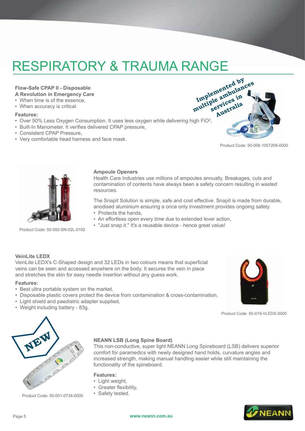#### **Flow-Safe CPAP II - Disposable A Revolution in Emergency Care**

- When time is of the essence,
- When accuracy is critical.

#### **Features:**

- Over 50% Less Oxygen Consumption. It uses less oxygen while delivering high FiO<sup>2</sup>,
- Built-In Manometer. It verifies delivered CPAP pressure,
- Consistent CPAP Pressure,
- Very comfortable head harness and face mask.



Product Code: 50-006-1057209-0000



Product Code: 50-092-SN-02L-0192

#### **Ampoule Openers**

Health Care Industries use millions of ampoules annually. Breakages, cuts and contamination of contents have always been a safety concern resulting in wasted resources.

The Snapit Solution is simple, safe and cost effective. Snapit is made from durable, anodised aluminium ensuring a once only investment provides ongoing safety.

- Protects the hands,
- An effortless open every time due to extended lever action,
- "Just snap it." It's a reusable device hence great value!

#### **VeinLite LEDX**

VeinLite LEDX's C-Shaped design and 32 LEDs in two colours means that superficial veins can be seen and accessed anywhere on the body. It secures the vein in place and stretches the skin for easy needle insertion without any guess work.

#### **Features:**

- Best ultra portable system on the market,
- Disposable plastic covers protect the device from contamination & cross-contamination,
- Light shield and paediatric adapter supplied,
- Weight including battery 83g.



Product Code: 50-019-VLEDX-0000



Product Code: 50-001-0734-0000

#### **NEANN LSB (Long Spine Board)**

This non-conductive, super light NEANN Long Spineboard (LSB) delivers superior comfort for paramedics with newly designed hand holds, curvature angles and increased strength, making manual handling easier while still maintaining the functionality of the spineboard.

#### **Features:**

- Light weight,
- Greater flexibility,
- Safety tested.

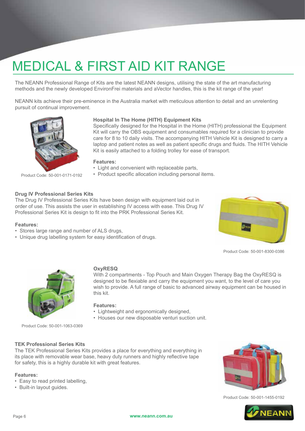# MEDICAL & FIRST AID KIT RANGE

The NEANN Professional Range of Kits are the latest NEANN designs, utilising the state of the art manufacturing methods and the newly developed EnvironFrei materials and aVector handles, this is the kit range of the year!

NEANN kits achieve their pre-eminence in the Australia market with meticulous attention to detail and an unrelenting pursuit of continual improvement.



#### **Hospital In The Home (HITH) Equipment Kits**

Specifically designed for the Hospital in the Home (HITH) professional the Equipment Kit will carry the OBS equipment and consumables required for a clinician to provide care for 8 to 10 daily visits. The accompanying HITH Vehicle Kit is designed to carry a laptop and patient notes as well as patient specific drugs and fluids. The HITH Vehicle Kit is easily attached to a folding trolley for ease of transport.

With 2 compartments - Top Pouch and Main Oxygen Therapy Bag the OxyRESQ is designed to be flexiable and carry the equipment you want, to the level of care you

#### **Features:**

- Light and convenient with replaceable parts,
- Product specific allocation including personal items.

#### **Drug IV Professional Series Kits**

The Drug IV Professional Series Kits have been design with equipment laid out in order of use. This assists the user in establishing IV access with ease. This Drug IV Professional Series Kit is design to fit into the PRK Professional Series Kit.

**OxyRESQ**

#### **Features:**

- Stores large range and number of ALS drugs,
- Unique drug labelling system for easy identification of drugs.



Product Code: 50-001-8300-0386



wish to provide. A full range of basic to advanced airway equipment can be housed in this kit.

**Features:** • Lightweight and ergonomically designed,

• Houses our new disposable venturi suction unit.

Product Code: 50-001-1063-0369

#### **TEK Professional Series Kits**

The TEK Professional Series Kits provides a place for everything and everything in its place with removable wear base, heavy duty runners and highly reflective tape for safety, this is a highly durable kit with great features.

#### **Features:**

- Easy to read printed labelling,
- Built-in layout guides.



Product Code: 50-001-1455-0192

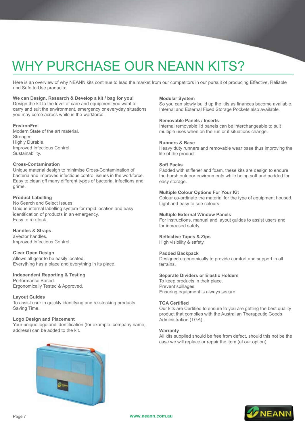# WHY PURCHASE OUR NEANN KITS?

Here is an overview of why NEANN kits continue to lead the market from our competitors in our pursuit of producing Effective, Reliable and Safe to Use products:

#### **We can Design, Research & Develop a kit / bag for you!**

Design the kit to the level of care and equipment you want to carry and suit the environment, emergency or everyday situations you may come across while in the workforce.

#### **EnvironFrei**

Modern State of the art material. Stronger. Highly Durable. Improved Infectious Control. Sustainability.

#### **Cross-Contamination**

Unique material design to minimise Cross-Contamination of bacteria and improved infectious control issues in the workforce. Easy to clean off many different types of bacteria, infections and grime.

#### **Product Labelling**

No Search and Select Issues. Unique internal labelling system for rapid location and easy identification of products in an emergency. Easy to re-stock.

#### **Handles & Straps**

aVector handles. Improved Infectious Control.

#### **Clear Open Design**

Allows all gear to be easily located. Everything has a place and everything in its place.

#### **Independent Reporting & Testing**

Performance Based. Ergonomically Tested & Approved.

#### **Layout Guides**

To assist user in quickly identifying and re-stocking products. Saving Time.

#### **Logo Design and Placement**

Your unique logo and identification (for example: company name, address) can be added to the kit.

#### **Modular System**

So you can slowly build up the kits as finances become available. Internal and External Fixed Storage Pockets also available.

#### **Removable Panels / Inserts**

Internal removable lid panels can be interchangeable to suit multiple uses when on the run or if situations change.

#### **Runners & Base**

Heavy duty runners and removable wear base thus improving the life of the product.

#### **Soft Packs**

Padded with stiffener and foam, these kits are design to endure the harsh outdoor environments while being soft and padded for easy storage.

#### **Multiple Colour Options For Your Kit**

Colour co-ordinate the material for the type of equipment housed. Light and easy to see colours.

#### **Multiple External Window Panels**

For instructions, manual and layout guides to assist users and for increased safety.

#### **Reflective Tapes & Zips** High visibility & safety.

#### **Padded Backpack**

Designed ergonomically to provide comfort and support in all terrains.

#### **Separate Dividers or Elastic Holders**

To keep products in their place. Prevent spillages. Ensuring equipment is always secure.

#### **TGA Certified**

Our kits are Certified to ensure to you are getting the best quality product that complies with the Australian Therapeutic Goods Administration (TGA).

#### **Warranty**

All kits supplied should be free from defect, should this not be the case we will replace or repair the item (at our option).